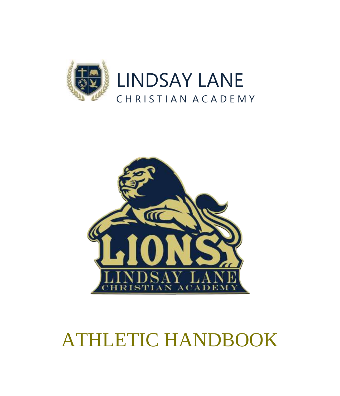



# ATHLETIC HANDBOOK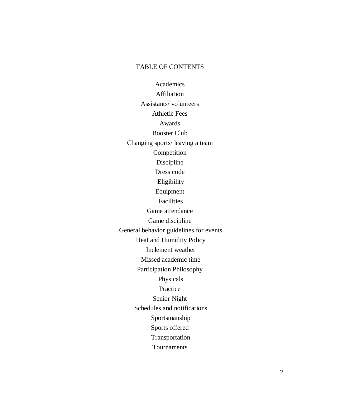#### TABLE OF CONTENTS

Academics Affiliation Assistants/ volunteers Athletic Fees Awards Booster Club Changing sports/ leaving a team Competition Discipline Dress code Eligibility Equipment Facilities Game attendance Game discipline General behavior guidelines for events Heat and Humidity Policy Inclement weather Missed academic time Participation Philosophy Physicals Practice Senior Night Schedules and notifications Sportsmanship Sports offered Transportation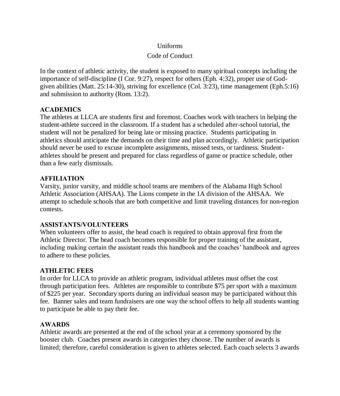## Uniforms

# Code of Conduct

In the context of athletic activity, the student is exposed to many spiritual concepts including the importance of self-discipline (I Cor. 9:27), respect for others (Eph. 4:32), proper use of Godgiven abilities (Matt. 25:14-30), striving for excellence (Col. 3:23), time management (Eph.5:16) and submission to authority (Rom. 13:2).

# **ACADEMICS**

The athletes at LLCA are students first and foremost. Coaches work with teachers in helping the student-athlete succeed in the classroom. If a student has a scheduled after-school tutorial, the student will not be penalized for being late or missing practice. Students participating in athletics should anticipate the demands on their time and plan accordingly. Athletic participation should never be used to excuse incomplete assignments, missed tests, or tardiness. Studentathletes should be present and prepared for class regardless of game or practice schedule, other than a few early dismissals.

# **AFFILIATION**

Varsity, junior varsity, and middle school teams are members of the Alabama High School Athletic Association (AHSAA). The Lions compete in the 1A division of the AHSAA. We attempt to schedule schools that are both competitive and limit traveling distances for non-region contests.

# **ASSISTANTS/VOLUNTEERS**

When volunteers offer to assist, the head coach is required to obtain approval first from the Athletic Director. The head coach becomes responsible for proper training of the assistant, including making certain the assistant reads this handbook and the coaches' handbook and agrees to adhere to these policies.

# **ATHLETIC FEES**

In order for LLCA to provide an athletic program, individual athletes must offset the cost through participation fees. Athletes are responsible to contribute \$75 per sport with a maximum of \$225 per year. Secondary sports during an individual season may be participated without this fee. Banner sales and team fundraisers are one way the school offers to help all students wanting to participate be able to pay their fee.

# **AWARDS**

Athletic awards are presented at the end of the school year at a ceremony sponsored by the booster club. Coaches present awards in categories they choose. The number of awards is limited; therefore, careful consideration is given to athletes selected. Each coach selects 3 awards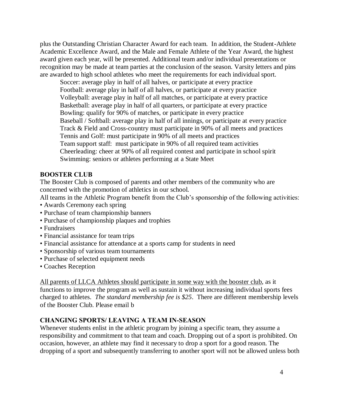plus the Outstanding Christian Character Award for each team. In addition, the Student-Athlete Academic Excellence Award, and the Male and Female Athlete of the Year Award, the highest award given each year, will be presented. Additional team and/or individual presentations or recognition may be made at team parties at the conclusion of the season. Varsity letters and pins are awarded to high school athletes who meet the requirements for each individual sport.

Soccer: average play in half of all halves, or participate at every practice Football: average play in half of all halves, or participate at every practice Volleyball: average play in half of all matches, or participate at every practice Basketball: average play in half of all quarters, or participate at every practice Bowling: qualify for 90% of matches, or participate in every practice Baseball / Softball: average play in half of all innings, or participate at every practice Track & Field and Cross-country must participate in 90% of all meets and practices Tennis and Golf: must participate in 90% of all meets and practices Team support staff: must participate in 90% of all required team activities Cheerleading: cheer at 90% of all required contest and participate in school spirit Swimming: seniors or athletes performing at a State Meet

#### **BOOSTER CLUB**

The Booster Club is composed of parents and other members of the community who are concerned with the promotion of athletics in our school.

All teams in the Athletic Program benefit from the Club's sponsorship of the following activities:

- Awards Ceremony each spring
- Purchase of team championship banners
- Purchase of championship plaques and trophies
- Fundraisers
- Financial assistance for team trips
- Financial assistance for attendance at a sports camp for students in need
- Sponsorship of various team tournaments
- Purchase of selected equipment needs
- Coaches Reception

All parents of LLCA Athletes should participate in some way with the booster club, as it functions to improve the program as well as sustain it without increasing individual sports fees charged to athletes. *The standard membership fee is \$25*. There are different membership levels of the Booster Club. Please email b

#### **CHANGING SPORTS/ LEAVING A TEAM IN-SEASON**

Whenever students enlist in the athletic program by joining a specific team, they assume a responsibility and commitment to that team and coach. Dropping out of a sport is prohibited. On occasion, however, an athlete may find it necessary to drop a sport for a good reason. The dropping of a sport and subsequently transferring to another sport will not be allowed unless both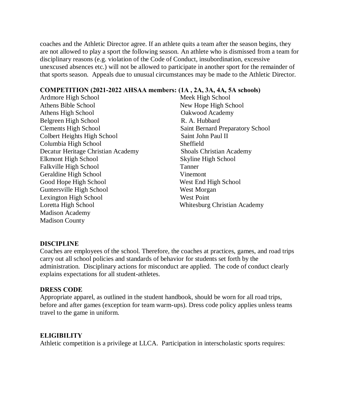coaches and the Athletic Director agree. If an athlete quits a team after the season begins, they are not allowed to play a sport the following season. An athlete who is dismissed from a team for disciplinary reasons (e.g. violation of the Code of Conduct, insubordination, excessive unexcused absences etc.) will not be allowed to participate in another sport for the remainder of that sports season. Appeals due to unusual circumstances may be made to the Athletic Director.

#### **COMPETITION (2021-2022 AHSAA members: (1A , 2A, 3A, 4A, 5A schools)**

Ardmore High School Meek High School Athens Bible School New Hope High School Athens High School **Oakwood Academy** Belgreen High School R. A. Hubbard Clements High School Saint Bernard Preparatory School Colbert Heights High School Saint John Paul II Columbia High School Sheffield Decatur Heritage Christian Academy Shoals Christian Academy Elkmont High School Skyline High School Falkville High School Tanner Geraldine High School Vinemont Good Hope High School West End High School Guntersville High School West Morgan Lexington High School West Point Loretta High School Whitesburg Christian Academy Madison Academy Madison County

#### **DISCIPLINE**

Coaches are employees of the school. Therefore, the coaches at practices, games, and road trips carry out all school policies and standards of behavior for students set forth by the administration. Disciplinary actions for misconduct are applied. The code of conduct clearly explains expectations for all student-athletes.

#### **DRESS CODE**

Appropriate apparel, as outlined in the student handbook, should be worn for all road trips, before and after games (exception for team warm-ups). Dress code policy applies unless teams travel to the game in uniform.

#### **ELIGIBILITY**

Athletic competition is a privilege at LLCA. Participation in interscholastic sports requires: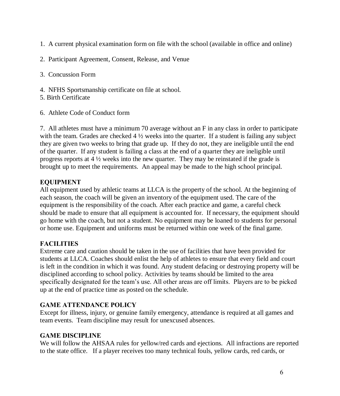- 1. A current physical examination form on file with the school (available in office and online)
- 2. Participant Agreement, Consent, Release, and Venue

3. Concussion Form

- 4. NFHS Sportsmanship certificate on file at school.
- 5. Birth Certificate
- 6. Athlete Code of Conduct form

7. All athletes must have a minimum 70 average without an F in any class in order to participate with the team. Grades are checked 4  $\frac{1}{2}$  weeks into the quarter. If a student is failing any subject they are given two weeks to bring that grade up. If they do not, they are ineligible until the end of the quarter. If any student is failing a class at the end of a quarter they are ineligible until progress reports at 4 ½ weeks into the new quarter. They may be reinstated if the grade is brought up to meet the requirements. An appeal may be made to the high school principal.

## **EQUIPMENT**

All equipment used by athletic teams at LLCA is the property of the school. At the beginning of each season, the coach will be given an inventory of the equipment used. The care of the equipment is the responsibility of the coach. After each practice and game, a careful check should be made to ensure that all equipment is accounted for. If necessary, the equipment should go home with the coach, but not a student. No equipment may be loaned to students for personal or home use. Equipment and uniforms must be returned within one week of the final game.

# **FACILITIES**

Extreme care and caution should be taken in the use of facilities that have been provided for students at LLCA. Coaches should enlist the help of athletes to ensure that every field and court is left in the condition in which it was found. Any student defacing or destroying property will be disciplined according to school policy. Activities by teams should be limited to the area specifically designated for the team's use. All other areas are off limits. Players are to be picked up at the end of practice time as posted on the schedule.

#### **GAME ATTENDANCE POLICY**

Except for illness, injury, or genuine family emergency, attendance is required at all games and team events. Team discipline may result for unexcused absences.

# **GAME DISCIPLINE**

We will follow the AHSAA rules for yellow/red cards and ejections. All infractions are reported to the state office. If a player receives too many technical fouls, yellow cards, red cards, or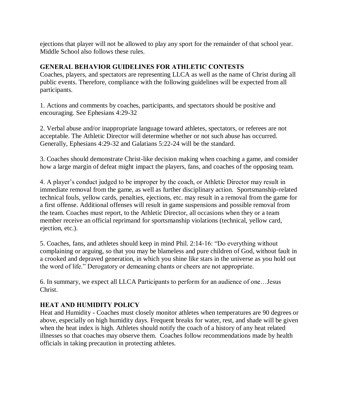ejections that player will not be allowed to play any sport for the remainder of that school year. Middle School also follows these rules.

#### **GENERAL BEHAVIOR GUIDELINES FOR ATHLETIC CONTESTS**

Coaches, players, and spectators are representing LLCA as well as the name of Christ during all public events. Therefore, compliance with the following guidelines will be expected from all participants.

1. Actions and comments by coaches, participants, and spectators should be positive and encouraging. See Ephesians 4:29-32

2. Verbal abuse and/or inappropriate language toward athletes, spectators, or referees are not acceptable. The Athletic Director will determine whether or not such abuse has occurred. Generally, Ephesians 4:29-32 and Galatians 5:22-24 will be the standard.

3. Coaches should demonstrate Christ-like decision making when coaching a game, and consider how a large margin of defeat might impact the players, fans, and coaches of the opposing team.

4. A player's conduct judged to be improper by the coach, or Athletic Director may result in immediate removal from the game, as well as further disciplinary action. Sportsmanship-related technical fouls, yellow cards, penalties, ejections, etc. may result in a removal from the game for a first offense. Additional offenses will result in game suspensions and possible removal from the team. Coaches must report, to the Athletic Director, all occasions when they or a team member receive an official reprimand for sportsmanship violations (technical, yellow card, ejection, etc.).

5. Coaches, fans, and athletes should keep in mind Phil. 2:14-16: "Do everything without complaining or arguing, so that you may be blameless and pure children of God, without fault in a crooked and depraved generation, in which you shine like stars in the universe as you hold out the word of life." Derogatory or demeaning chants or cheers are not appropriate.

6. In summary, we expect all LLCA Participants to perform for an audience of one…Jesus Christ.

# **HEAT AND HUMIDITY POLICY**

Heat and Humidity - Coaches must closely monitor athletes when temperatures are 90 degrees or above, especially on high humidity days. Frequent breaks for water, rest, and shade will be given when the heat index is high. Athletes should notify the coach of a history of any heat related illnesses so that coaches may observe them. Coaches follow recommendations made by health officials in taking precaution in protecting athletes.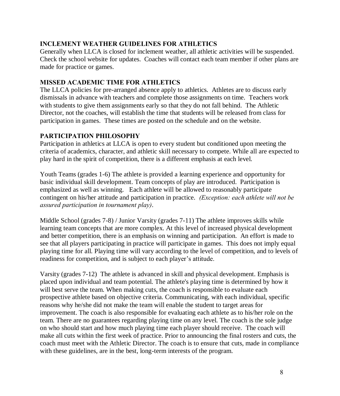## **INCLEMENT WEATHER GUIDELINES FOR ATHLETICS**

Generally when LLCA is closed for inclement weather, all athletic activities will be suspended. Check the school website for updates. Coaches will contact each team member if other plans are made for practice or games.

# **MISSED ACADEMIC TIME FOR ATHLETICS**

The LLCA policies for pre-arranged absence apply to athletics. Athletes are to discuss early dismissals in advance with teachers and complete those assignments on time. Teachers work with students to give them assignments early so that they do not fall behind. The Athletic Director, not the coaches, will establish the time that students will be released from class for participation in games. These times are posted on the schedule and on the website.

# **PARTICIPATION PHILOSOPHY**

Participation in athletics at LLCA is open to every student but conditioned upon meeting the criteria of academics, character, and athletic skill necessary to compete. While all are expected to play hard in the spirit of competition, there is a different emphasis at each level.

Youth Teams (grades 1-6) The athlete is provided a learning experience and opportunity for basic individual skill development. Team concepts of play are introduced. Participation is emphasized as well as winning. Each athlete will be allowed to reasonably participate contingent on his/her attitude and participation in practice. *(Exception: each athlete will not be assured participation in tournament play)*.

Middle School (grades 7-8) / Junior Varsity (grades 7-11) The athlete improves skills while learning team concepts that are more complex. At this level of increased physical development and better competition, there is an emphasis on winning and participation. An effort is made to see that all players participating in practice will participate in games. This does not imply equal playing time for all. Playing time will vary according to the level of competition, and to levels of readiness for competition, and is subject to each player's attitude.

Varsity (grades 7-12) The athlete is advanced in skill and physical development. Emphasis is placed upon individual and team potential. The athlete's playing time is determined by how it will best serve the team. When making cuts, the coach is responsible to evaluate each prospective athlete based on objective criteria. Communicating, with each individual, specific reasons why he/she did not make the team will enable the student to target areas for improvement. The coach is also responsible for evaluating each athlete as to his/her role on the team. There are no guarantees regarding playing time on any level. The coach is the sole judge on who should start and how much playing time each player should receive. The coach will make all cuts within the first week of practice. Prior to announcing the final rosters and cuts, the coach must meet with the Athletic Director. The coach is to ensure that cuts, made in compliance with these guidelines, are in the best, long-term interests of the program.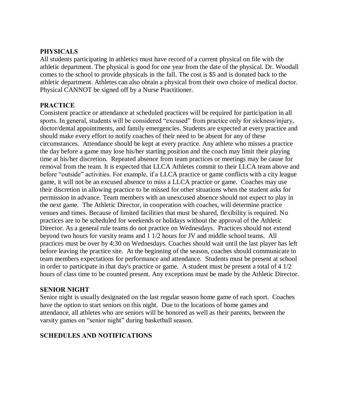#### **PHYSICALS**

All students participating in athletics must have record of a current physical on file with the athletic department. The physical is good for one year from the date of the physical. Dr. Woodall comes to the school to provide physicals in the fall. The cost is \$5 and is donated back to the athletic department. Athletes can also obtain a physical from their own choice of medical doctor. Physical CANNOT be signed off by a Nurse Practitioner.

#### **PRACTICE**

Consistent practice or attendance at scheduled practices will be required for participation in all sports. In general, students will be considered "excused" from practice only for sickness/injury, doctor/dental appointments, and family emergencies. Students are expected at every practice and should make every effort to notify coaches of their need to be absent for any of these circumstances. Attendance should be kept at every practice. Any athlete who misses a practice the day before a game may lose his/her starting position and the coach may limit their playing time at his/her discretion. Repeated absence from team practices or meetings may be cause for removal from the team. It is expected that LLCA Athletes commit to their LLCA team above and before "outside" activities. For example, if a LLCA practice or game conflicts with a city league game, it will not be an excused absence to miss a LLCA practice or game. Coaches may use their discretion in allowing practice to be missed for other situations when the student asks for permission in advance. Team members with an unexcused absence should not expect to play in the next game. The Athletic Director, in cooperation with coaches, will determine practice venues and times. Because of limited facilities that must be shared, flexibility is required. No practices are to be scheduled for weekends or holidays without the approval of the Athletic Director. As a general rule teams do not practice on Wednesdays. Practices should not extend beyond two hours for varsity teams and 1 1/2 hours for JV and middle school teams. All practices must be over by 4:30 on Wednesdays. Coaches should wait until the last player has left before leaving the practice site. At the beginning of the season, coaches should communicate to team members expectations for performance and attendance. Students must be present at school in order to participate in that day's practice or game. A student must be present a total of 4 1/2 hours of class time to be counted present. Any exceptions must be made by the Athletic Director.

#### **SENIOR NIGHT**

Senior night is usually designated on the last regular season home game of each sport. Coaches have the option to start seniors on this night. Due to the locations of home games and attendance, all athletes who are seniors will be honored as well as their parents, between the varsity games on "senior night" during basketball season.

#### **SCHEDULES AND NOTIFICATIONS**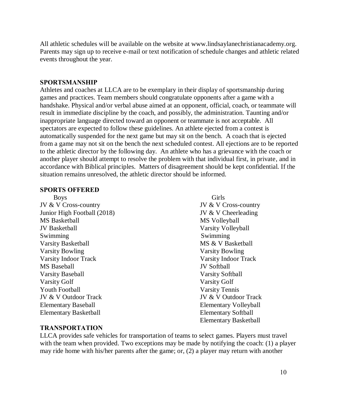All athletic schedules will be available on the website at www.lindsaylanechristianacademy.org. Parents may sign up to receive e-mail or text notification of schedule changes and athletic related events throughout the year.

#### **SPORTSMANSHIP**

Athletes and coaches at LLCA are to be exemplary in their display of sportsmanship during games and practices. Team members should congratulate opponents after a game with a handshake. Physical and/or verbal abuse aimed at an opponent, official, coach, or teammate will result in immediate discipline by the coach, and possibly, the administration. Taunting and/or inappropriate language directed toward an opponent or teammate is not acceptable. All spectators are expected to follow these guidelines. An athlete ejected from a contest is automatically suspended for the next game but may sit on the bench. A coach that is ejected from a game may not sit on the bench the next scheduled contest. All ejections are to be reported to the athletic director by the following day. An athlete who has a grievance with the coach or another player should attempt to resolve the problem with that individual first, in private, and in accordance with Biblical principles. Matters of disagreement should be kept confidential. If the situation remains unresolved, the athletic director should be informed.

#### **SPORTS OFFERED**

JV & V Cross-country JV & V Cross-country Junior High Football (2018) JV & V Cheerleading MS Basketball MS Volleyball JV Basketball Varsity Volleyball Swimming Swimming Swimming Varsity Basketball MS & V Basketball MS & V Basketball Varsity Bowling Varsity Bowling Varsity Indoor Track Varsity Indoor Track MS Baseball JV Softball Varsity Baseball Varsity Softball Varsity Golf Varsity Golf Youth Football Varsity Tennis JV & V Outdoor Track JV & V Outdoor Track Elementary Baseball Elementary Volleyball Elementary Basketball Elementary Softball

Boys Girls Elementary Basketball

#### **TRANSPORTATION**

LLCA provides safe vehicles for transportation of teams to select games. Players must travel with the team when provided. Two exceptions may be made by notifying the coach: (1) a player may ride home with his/her parents after the game; or, (2) a player may return with another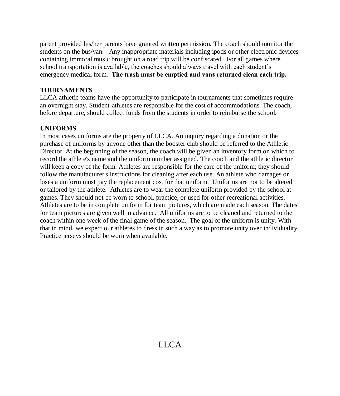parent provided his/her parents have granted written permission. The coach should monitor the students on the bus/van. Any inappropriate materials including ipods or other electronic devices containing immoral music brought on a road trip will be confiscated. For all games where school transportation is available, the coaches should always travel with each student's emergency medical form. **The trash must be emptied and vans returned clean each trip.** 

#### **TOURNAMENTS**

LLCA athletic teams have the opportunity to participate in tournaments that sometimes require an overnight stay. Student-athletes are responsible for the cost of accommodations. The coach, before departure, should collect funds from the students in order to reimburse the school.

#### **UNIFORMS**

In most cases uniforms are the property of LLCA. An inquiry regarding a donation or the purchase of uniforms by anyone other than the booster club should be referred to the Athletic Director. At the beginning of the season, the coach will be given an inventory form on which to record the athlete's name and the uniform number assigned. The coach and the athletic director will keep a copy of the form. Athletes are responsible for the care of the uniform; they should follow the manufacturer's instructions for cleaning after each use. An athlete who damages or loses a uniform must pay the replacement cost for that uniform. Uniforms are not to be altered or tailored by the athlete. Athletes are to wear the complete uniform provided by the school at games. They should not be worn to school, practice, or used for other recreational activities. Athletes are to be in complete uniform for team pictures, which are made each season. The dates for team pictures are given well in advance. All uniforms are to be cleaned and returned to the coach within one week of the final game of the season. The goal of the uniform is unity. With that in mind, we expect our athletes to dress in such a way as to promote unity over individuality. Practice jerseys should be worn when available.

# LLCA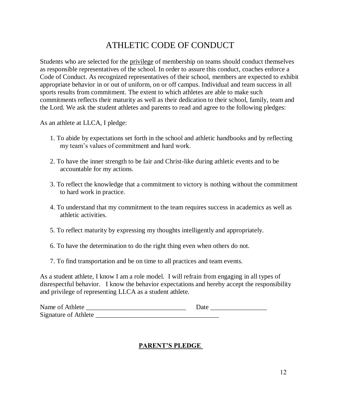# ATHLETIC CODE OF CONDUCT

Students who are selected for the privilege of membership on teams should conduct themselves as responsible representatives of the school. In order to assure this conduct, coaches enforce a Code of Conduct. As recognized representatives of their school, members are expected to exhibit appropriate behavior in or out of uniform, on or off campus. Individual and team success in all sports results from commitment. The extent to which athletes are able to make such commitments reflects their maturity as well as their dedication to their school, family, team and the Lord. We ask the student athletes and parents to read and agree to the following pledges:

As an athlete at LLCA, I pledge:

- 1. To abide by expectations set forth in the school and athletic handbooks and by reflecting my team's values of commitment and hard work.
- 2. To have the inner strength to be fair and Christ-like during athletic events and to be accountable for my actions.
- 3. To reflect the knowledge that a commitment to victory is nothing without the commitment to hard work in practice.
- 4. To understand that my commitment to the team requires success in academics as well as athletic activities.
- 5. To reflect maturity by expressing my thoughts intelligently and appropriately.
- 6. To have the determination to do the right thing even when others do not.
- 7. To find transportation and be on time to all practices and team events.

As a student athlete, I know I am a role model. I will refrain from engaging in all types of disrespectful behavior. I know the behavior expectations and hereby accept the responsibility and privilege of representing LLCA as a student athlete.

| Name of Athlete             | Date |
|-----------------------------|------|
| <b>Signature of Athlete</b> |      |

#### **PARENT'S PLEDGE**